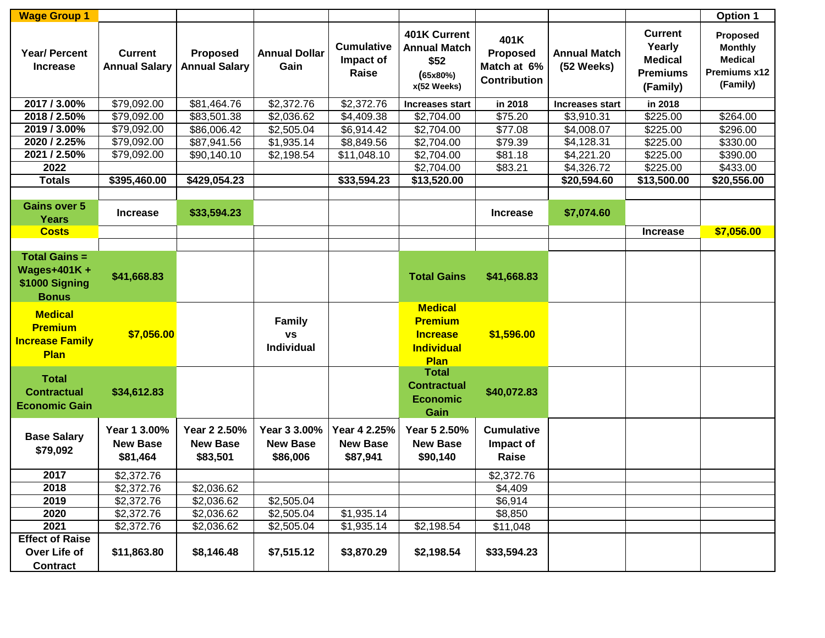| <b>Wage Group 1</b>                                                          |                                             |                                             |                                             |                                             |                                                                                  |                                                               |                                   |                                                                           | Option 1                                                                 |
|------------------------------------------------------------------------------|---------------------------------------------|---------------------------------------------|---------------------------------------------|---------------------------------------------|----------------------------------------------------------------------------------|---------------------------------------------------------------|-----------------------------------|---------------------------------------------------------------------------|--------------------------------------------------------------------------|
| <b>Year/ Percent</b><br><b>Increase</b>                                      | <b>Current</b><br><b>Annual Salary</b>      | <b>Proposed</b><br><b>Annual Salary</b>     | <b>Annual Dollar</b><br>Gain                | <b>Cumulative</b><br>Impact of<br>Raise     | 401K Current<br><b>Annual Match</b><br>\$52<br>(65x80%)<br>x(52 Weeks)           | 401K<br><b>Proposed</b><br>Match at 6%<br><b>Contribution</b> | <b>Annual Match</b><br>(52 Weeks) | <b>Current</b><br>Yearly<br><b>Medical</b><br><b>Premiums</b><br>(Family) | Proposed<br><b>Monthly</b><br><b>Medical</b><br>Premiums x12<br>(Family) |
| 2017 / 3.00%                                                                 | \$79,092.00                                 | \$81,464.76                                 | \$2,372.76                                  | \$2,372.76                                  | Increases start                                                                  | in 2018                                                       | <b>Increases start</b>            | in 2018                                                                   |                                                                          |
| 2018 / 2.50%                                                                 | \$79,092.00                                 | \$83,501.38                                 | \$2,036.62                                  | \$4,409.38                                  | \$2,704.00                                                                       | \$75.20                                                       | \$3,910.31                        | \$225.00                                                                  | \$264.00                                                                 |
| 2019 / 3.00%                                                                 | \$79,092.00                                 | \$86,006.42                                 | \$2,505.04                                  | \$6,914.42                                  | \$2,704.00                                                                       | \$77.08                                                       | \$4,008.07                        | \$225.00                                                                  | \$296.00                                                                 |
| 2020 / 2.25%                                                                 | \$79,092.00                                 | \$87,941.56                                 | \$1,935.14                                  | \$8,849.56                                  | \$2,704.00                                                                       | \$79.39                                                       | \$4,128.31                        | \$225.00                                                                  | \$330.00                                                                 |
| 2021 / 2.50%                                                                 | \$79,092.00                                 | \$90,140.10                                 | \$2,198.54                                  | \$11,048.10                                 | \$2,704.00                                                                       | \$81.18                                                       | \$4,221.20                        | \$225.00                                                                  | \$390.00                                                                 |
| 2022                                                                         |                                             |                                             |                                             |                                             | \$2,704.00                                                                       | \$83.21                                                       | \$4,326.72                        | \$225.00                                                                  | \$433.00                                                                 |
| <b>Totals</b>                                                                | \$395,460.00                                | \$429,054.23                                |                                             | \$33,594.23                                 | \$13,520.00                                                                      |                                                               | \$20,594.60                       | \$13,500.00                                                               | \$20,556.00                                                              |
|                                                                              |                                             |                                             |                                             |                                             |                                                                                  |                                                               |                                   |                                                                           |                                                                          |
| <b>Gains over 5</b><br><b>Years</b>                                          | <b>Increase</b>                             | \$33,594.23                                 |                                             |                                             |                                                                                  | <b>Increase</b>                                               | \$7,074.60                        |                                                                           |                                                                          |
| <b>Costs</b>                                                                 |                                             |                                             |                                             |                                             |                                                                                  |                                                               |                                   | <b>Increase</b>                                                           | \$7,056.00                                                               |
|                                                                              |                                             |                                             |                                             |                                             |                                                                                  |                                                               |                                   |                                                                           |                                                                          |
| <b>Total Gains =</b><br><b>Wages+401K+</b><br>\$1000 Signing<br><b>Bonus</b> | \$41,668.83                                 |                                             |                                             |                                             | <b>Total Gains</b>                                                               | \$41,668.83                                                   |                                   |                                                                           |                                                                          |
| <b>Medical</b><br><b>Premium</b><br><b>Increase Family</b><br><b>Plan</b>    | \$7,056.00                                  |                                             | <b>Family</b><br><b>VS</b><br>Individual    |                                             | <b>Medical</b><br><b>Premium</b><br><b>Increase</b><br><b>Individual</b><br>Plan | \$1,596.00                                                    |                                   |                                                                           |                                                                          |
| <b>Total</b><br><b>Contractual</b><br><b>Economic Gain</b>                   | \$34,612.83                                 |                                             |                                             |                                             | <b>Total</b><br><b>Contractual</b><br><b>Economic</b><br>Gain                    | \$40,072.83                                                   |                                   |                                                                           |                                                                          |
| <b>Base Salary</b><br>\$79,092                                               | Year 1 3.00%<br><b>New Base</b><br>\$81,464 | Year 2 2.50%<br><b>New Base</b><br>\$83,501 | Year 3 3.00%<br><b>New Base</b><br>\$86,006 | Year 4 2.25%<br><b>New Base</b><br>\$87,941 | Year 5 2.50%<br><b>New Base</b><br>\$90,140                                      | <b>Cumulative</b><br>Impact of<br>Raise                       |                                   |                                                                           |                                                                          |
| 2017                                                                         | \$2,372.76                                  |                                             |                                             |                                             |                                                                                  | \$2,372.76                                                    |                                   |                                                                           |                                                                          |
| 2018                                                                         | \$2,372.76                                  | \$2,036.62                                  |                                             |                                             |                                                                                  | \$4,409                                                       |                                   |                                                                           |                                                                          |
| 2019                                                                         | \$2,372.76                                  | \$2,036.62                                  | \$2,505.04                                  |                                             |                                                                                  | \$6,914                                                       |                                   |                                                                           |                                                                          |
| 2020                                                                         | \$2,372.76                                  | \$2,036.62                                  | \$2,505.04                                  | \$1,935.14                                  |                                                                                  | \$8,850                                                       |                                   |                                                                           |                                                                          |
| 2021                                                                         | \$2,372.76                                  | \$2,036.62                                  | \$2,505.04                                  | \$1,935.14                                  | \$2,198.54                                                                       | \$11,048                                                      |                                   |                                                                           |                                                                          |
| <b>Effect of Raise</b>                                                       |                                             |                                             |                                             |                                             |                                                                                  |                                                               |                                   |                                                                           |                                                                          |
| Over Life of                                                                 | \$11,863.80                                 | \$8,146.48                                  | \$7,515.12                                  | \$3,870.29                                  | \$2,198.54                                                                       | \$33,594.23                                                   |                                   |                                                                           |                                                                          |
| <b>Contract</b>                                                              |                                             |                                             |                                             |                                             |                                                                                  |                                                               |                                   |                                                                           |                                                                          |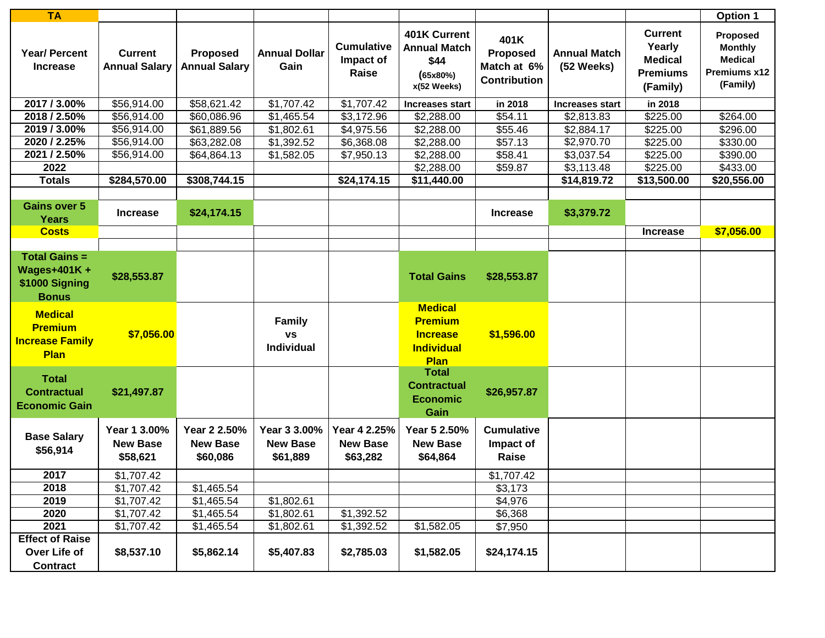| <b>TA</b>                                                                    |                                             |                                             |                                                 |                                             |                                                                                  |                                                               |                                   |                                                                           | <b>Option 1</b>                                                                 |
|------------------------------------------------------------------------------|---------------------------------------------|---------------------------------------------|-------------------------------------------------|---------------------------------------------|----------------------------------------------------------------------------------|---------------------------------------------------------------|-----------------------------------|---------------------------------------------------------------------------|---------------------------------------------------------------------------------|
| <b>Year/ Percent</b><br><b>Increase</b>                                      | <b>Current</b><br><b>Annual Salary</b>      | <b>Proposed</b><br><b>Annual Salary</b>     | <b>Annual Dollar</b><br>Gain                    | <b>Cumulative</b><br>Impact of<br>Raise     | 401K Current<br><b>Annual Match</b><br>\$44<br>(65x80%)<br>x(52 Weeks)           | 401K<br><b>Proposed</b><br>Match at 6%<br><b>Contribution</b> | <b>Annual Match</b><br>(52 Weeks) | <b>Current</b><br>Yearly<br><b>Medical</b><br><b>Premiums</b><br>(Family) | <b>Proposed</b><br><b>Monthly</b><br><b>Medical</b><br>Premiums x12<br>(Family) |
| 2017 / 3.00%                                                                 | \$56,914.00                                 | \$58,621.42                                 | \$1,707.42                                      | \$1,707.42                                  | Increases start                                                                  | in 2018                                                       | <b>Increases start</b>            | in 2018                                                                   |                                                                                 |
| 2018 / 2.50%                                                                 | \$56,914.00                                 | \$60,086.96                                 | \$1,465.54                                      | \$3,172.96                                  | \$2,288.00                                                                       | \$54.11                                                       | \$2,813.83                        | \$225.00                                                                  | \$264.00                                                                        |
| 2019 / 3.00%                                                                 | \$56,914.00                                 | \$61,889.56                                 | \$1,802.61                                      | \$4,975.56                                  | \$2,288.00                                                                       | \$55.46                                                       | \$2,884.17                        | \$225.00                                                                  | \$296.00                                                                        |
| 2020 / 2.25%                                                                 | \$56,914.00                                 | \$63,282.08                                 | \$1,392.52                                      | \$6,368.08                                  | \$2,288.00                                                                       | \$57.13                                                       | \$2,970.70                        | \$225.00                                                                  | \$330.00                                                                        |
| 2021 / 2.50%                                                                 | \$56,914.00                                 | \$64,864.13                                 | \$1,582.05                                      | \$7,950.13                                  | \$2,288.00                                                                       | \$58.41                                                       | \$3,037.54                        | \$225.00                                                                  | \$390.00                                                                        |
| 2022                                                                         |                                             |                                             |                                                 |                                             | \$2,288.00                                                                       | \$59.87                                                       | \$3,113.48                        | \$225.00                                                                  | \$433.00                                                                        |
| <b>Totals</b>                                                                | \$284,570.00                                | \$308,744.15                                |                                                 | \$24,174.15                                 | \$11,440.00                                                                      |                                                               | \$14,819.72                       | \$13,500.00                                                               | \$20,556.00                                                                     |
|                                                                              |                                             |                                             |                                                 |                                             |                                                                                  |                                                               |                                   |                                                                           |                                                                                 |
| <b>Gains over 5</b><br><b>Years</b>                                          | <b>Increase</b>                             | \$24,174.15                                 |                                                 |                                             |                                                                                  | <b>Increase</b>                                               | \$3,379.72                        |                                                                           |                                                                                 |
| <b>Costs</b>                                                                 |                                             |                                             |                                                 |                                             |                                                                                  |                                                               |                                   | <b>Increase</b>                                                           | \$7,056.00                                                                      |
|                                                                              |                                             |                                             |                                                 |                                             |                                                                                  |                                                               |                                   |                                                                           |                                                                                 |
| <b>Total Gains =</b><br><b>Wages+401K+</b><br>\$1000 Signing<br><b>Bonus</b> | \$28,553.87                                 |                                             |                                                 |                                             | <b>Total Gains</b>                                                               | \$28,553.87                                                   |                                   |                                                                           |                                                                                 |
| <b>Medical</b><br><b>Premium</b><br><b>Increase Family</b><br>Plan           | \$7,056.00                                  |                                             | <b>Family</b><br><b>VS</b><br><b>Individual</b> |                                             | <b>Medical</b><br><b>Premium</b><br><b>Increase</b><br><b>Individual</b><br>Plan | \$1,596.00                                                    |                                   |                                                                           |                                                                                 |
| <b>Total</b><br><b>Contractual</b><br><b>Economic Gain</b>                   | \$21,497.87                                 |                                             |                                                 |                                             | <b>Total</b><br><b>Contractual</b><br><b>Economic</b><br>Gain                    | \$26,957.87                                                   |                                   |                                                                           |                                                                                 |
| <b>Base Salary</b><br>\$56,914                                               | Year 1 3.00%<br><b>New Base</b><br>\$58,621 | Year 2 2.50%<br><b>New Base</b><br>\$60,086 | Year 3 3.00%<br><b>New Base</b><br>\$61,889     | Year 4 2.25%<br><b>New Base</b><br>\$63,282 | Year 5 2.50%<br><b>New Base</b><br>\$64,864                                      | <b>Cumulative</b><br>Impact of<br>Raise                       |                                   |                                                                           |                                                                                 |
| 2017                                                                         | \$1,707.42                                  |                                             |                                                 |                                             |                                                                                  | \$1,707.42                                                    |                                   |                                                                           |                                                                                 |
| 2018                                                                         | \$1,707.42                                  | \$1,465.54                                  |                                                 |                                             |                                                                                  | \$3,173                                                       |                                   |                                                                           |                                                                                 |
| 2019                                                                         | \$1,707.42                                  | \$1,465.54                                  | \$1,802.61                                      |                                             |                                                                                  | \$4,976                                                       |                                   |                                                                           |                                                                                 |
| 2020                                                                         | \$1,707.42                                  | \$1,465.54                                  | \$1,802.61                                      | \$1,392.52                                  |                                                                                  | \$6,368                                                       |                                   |                                                                           |                                                                                 |
| 2021                                                                         | \$1,707.42                                  | \$1,465.54                                  | \$1,802.61                                      | \$1,392.52                                  | \$1,582.05                                                                       | \$7,950                                                       |                                   |                                                                           |                                                                                 |
| <b>Effect of Raise</b>                                                       |                                             |                                             |                                                 |                                             |                                                                                  |                                                               |                                   |                                                                           |                                                                                 |
| Over Life of<br><b>Contract</b>                                              | \$8,537.10                                  | \$5,862.14                                  | \$5,407.83                                      | \$2,785.03                                  | \$1,582.05                                                                       | \$24,174.15                                                   |                                   |                                                                           |                                                                                 |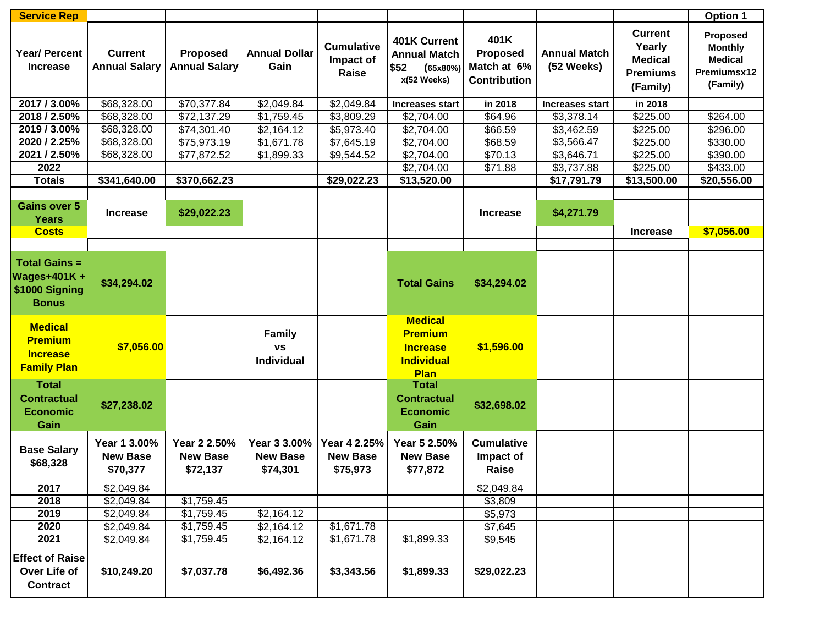| <b>Service Rep</b>                                                        |                                             |                                             |                                                 |                                             |                                                                                  |                                                               |                                   |                                                                           | <b>Option 1</b>                                                         |
|---------------------------------------------------------------------------|---------------------------------------------|---------------------------------------------|-------------------------------------------------|---------------------------------------------|----------------------------------------------------------------------------------|---------------------------------------------------------------|-----------------------------------|---------------------------------------------------------------------------|-------------------------------------------------------------------------|
| <b>Year/Percent</b><br><b>Increase</b>                                    | <b>Current</b><br><b>Annual Salary</b>      | Proposed<br><b>Annual Salary</b>            | <b>Annual Dollar</b><br>Gain                    | <b>Cumulative</b><br>Impact of<br>Raise     | 401K Current<br><b>Annual Match</b><br>\$52<br>(65x80%)<br>x(52 Weeks)           | 401K<br><b>Proposed</b><br>Match at 6%<br><b>Contribution</b> | <b>Annual Match</b><br>(52 Weeks) | <b>Current</b><br>Yearly<br><b>Medical</b><br><b>Premiums</b><br>(Family) | Proposed<br><b>Monthly</b><br><b>Medical</b><br>Premiumsx12<br>(Family) |
| 2017 / 3.00%                                                              | \$68,328.00                                 | \$70,377.84                                 | \$2,049.84                                      | \$2,049.84                                  | <b>Increases start</b>                                                           | in 2018                                                       | <b>Increases start</b>            | in 2018                                                                   |                                                                         |
| 2018 / 2.50%                                                              | \$68,328.00                                 | \$72,137.29                                 | \$1,759.45                                      | \$3,809.29                                  | \$2,704.00                                                                       | \$64.96                                                       | \$3,378.14                        | \$225.00                                                                  | \$264.00                                                                |
| 2019 / 3.00%                                                              | \$68,328.00                                 | \$74,301.40                                 | \$2,164.12                                      | \$5,973.40                                  | \$2,704.00                                                                       | \$66.59                                                       | \$3,462.59                        | \$225.00                                                                  | \$296.00                                                                |
| 2020 / 2.25%                                                              | \$68,328.00                                 | \$75,973.19                                 | \$1,671.78                                      | \$7,645.19                                  | \$2,704.00                                                                       | \$68.59                                                       | \$3,566.47                        | \$225.00                                                                  | \$330.00                                                                |
| 2021 / 2.50%                                                              | \$68,328.00                                 | \$77,872.52                                 | \$1,899.33                                      | \$9,544.52                                  | \$2,704.00                                                                       | \$70.13                                                       | \$3,646.71                        | \$225.00                                                                  | \$390.00                                                                |
| 2022                                                                      |                                             |                                             |                                                 |                                             | \$2,704.00                                                                       | \$71.88                                                       | \$3,737.88                        | \$225.00                                                                  | \$433.00                                                                |
| <b>Totals</b>                                                             | \$341,640.00                                | \$370,662.23                                |                                                 | \$29,022.23                                 | \$13,520.00                                                                      |                                                               | \$17,791.79                       | \$13,500.00                                                               | \$20,556.00                                                             |
|                                                                           |                                             |                                             |                                                 |                                             |                                                                                  |                                                               |                                   |                                                                           |                                                                         |
| <b>Gains over 5</b><br><b>Years</b>                                       | <b>Increase</b>                             | \$29,022.23                                 |                                                 |                                             |                                                                                  | <b>Increase</b>                                               | \$4,271.79                        |                                                                           |                                                                         |
| <b>Costs</b>                                                              |                                             |                                             |                                                 |                                             |                                                                                  |                                                               |                                   | <b>Increase</b>                                                           | \$7,056.00                                                              |
|                                                                           |                                             |                                             |                                                 |                                             |                                                                                  |                                                               |                                   |                                                                           |                                                                         |
| <b>Total Gains =</b><br>Wages+401K+<br>\$1000 Signing<br><b>Bonus</b>     | \$34,294.02                                 |                                             |                                                 |                                             | <b>Total Gains</b>                                                               | \$34,294.02                                                   |                                   |                                                                           |                                                                         |
| <b>Medical</b><br><b>Premium</b><br><b>Increase</b><br><b>Family Plan</b> | \$7,056.00                                  |                                             | <b>Family</b><br><b>VS</b><br><b>Individual</b> |                                             | <b>Medical</b><br><b>Premium</b><br><b>Increase</b><br><b>Individual</b><br>Plan | \$1,596.00                                                    |                                   |                                                                           |                                                                         |
| <b>Total</b><br><b>Contractual</b><br><b>Economic</b><br>Gain             | \$27,238.02                                 |                                             |                                                 |                                             | <b>Total</b><br><b>Contractual</b><br><b>Economic</b><br>Gain                    | \$32,698.02                                                   |                                   |                                                                           |                                                                         |
| <b>Base Salary</b><br>\$68,328                                            | Year 1 3.00%<br><b>New Base</b><br>\$70,377 | Year 2 2.50%<br><b>New Base</b><br>\$72,137 | Year 3 3.00%<br><b>New Base</b><br>\$74,301     | Year 4 2.25%<br><b>New Base</b><br>\$75,973 | Year 5 2.50%<br><b>New Base</b><br>\$77,872                                      | <b>Cumulative</b><br>Impact of<br>Raise                       |                                   |                                                                           |                                                                         |
| 2017                                                                      | \$2,049.84                                  |                                             |                                                 |                                             |                                                                                  | \$2,049.84                                                    |                                   |                                                                           |                                                                         |
| 2018                                                                      | \$2,049.84                                  | \$1,759.45                                  |                                                 |                                             |                                                                                  | \$3,809                                                       |                                   |                                                                           |                                                                         |
| 2019                                                                      | \$2,049.84                                  | \$1,759.45                                  | \$2,164.12                                      |                                             |                                                                                  | \$5,973                                                       |                                   |                                                                           |                                                                         |
| 2020                                                                      | \$2,049.84                                  | \$1,759.45                                  | \$2,164.12                                      | \$1,671.78                                  |                                                                                  | \$7,645                                                       |                                   |                                                                           |                                                                         |
| 2021                                                                      | \$2,049.84                                  | \$1,759.45                                  | \$2,164.12                                      | \$1,671.78                                  | \$1,899.33                                                                       | \$9,545                                                       |                                   |                                                                           |                                                                         |
| <b>Effect of Raise</b><br>Over Life of<br><b>Contract</b>                 | \$10,249.20                                 | \$7,037.78                                  | \$6,492.36                                      | \$3,343.56                                  | \$1,899.33                                                                       | \$29,022.23                                                   |                                   |                                                                           |                                                                         |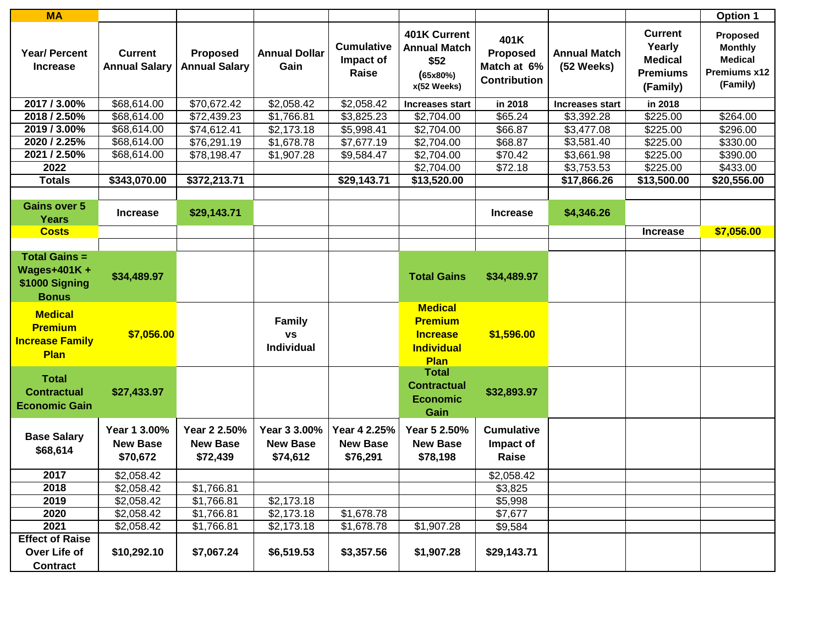| <b>MA</b>                                                                    |                                             |                                             |                                             |                                             |                                                                                  |                                                               |                                   |                                                                           | Option 1                                                                 |
|------------------------------------------------------------------------------|---------------------------------------------|---------------------------------------------|---------------------------------------------|---------------------------------------------|----------------------------------------------------------------------------------|---------------------------------------------------------------|-----------------------------------|---------------------------------------------------------------------------|--------------------------------------------------------------------------|
| <b>Year/ Percent</b><br><b>Increase</b>                                      | <b>Current</b><br><b>Annual Salary</b>      | <b>Proposed</b><br><b>Annual Salary</b>     | <b>Annual Dollar</b><br>Gain                | <b>Cumulative</b><br>Impact of<br>Raise     | 401K Current<br><b>Annual Match</b><br>\$52<br>(65x80%)<br>x(52 Weeks)           | 401K<br><b>Proposed</b><br>Match at 6%<br><b>Contribution</b> | <b>Annual Match</b><br>(52 Weeks) | <b>Current</b><br>Yearly<br><b>Medical</b><br><b>Premiums</b><br>(Family) | Proposed<br><b>Monthly</b><br><b>Medical</b><br>Premiums x12<br>(Family) |
| 2017 / 3.00%                                                                 | \$68,614.00                                 | \$70,672.42                                 | \$2,058.42                                  | \$2,058.42                                  | <b>Increases start</b>                                                           | in 2018                                                       | Increases start                   | in 2018                                                                   |                                                                          |
| 2018 / 2.50%                                                                 | \$68,614.00                                 | \$72,439.23                                 | \$1,766.81                                  | \$3,825.23                                  | \$2,704.00                                                                       | \$65.24                                                       | \$3,392.28                        | \$225.00                                                                  | \$264.00                                                                 |
| 2019 / 3.00%                                                                 | \$68,614.00                                 | \$74,612.41                                 | \$2,173.18                                  | \$5,998.41                                  | \$2,704.00                                                                       | \$66.87                                                       | \$3,477.08                        | \$225.00                                                                  | \$296.00                                                                 |
| 2020 / 2.25%                                                                 | \$68,614.00                                 | \$76,291.19                                 | \$1,678.78                                  | \$7,677.19                                  | \$2,704.00                                                                       | \$68.87                                                       | \$3,581.40                        | \$225.00                                                                  | \$330.00                                                                 |
| 2021 / 2.50%                                                                 | \$68,614.00                                 | \$78,198.47                                 | \$1,907.28                                  | \$9,584.47                                  | \$2,704.00                                                                       | \$70.42                                                       | \$3,661.98                        | \$225.00                                                                  | \$390.00                                                                 |
| 2022                                                                         |                                             |                                             |                                             |                                             | \$2,704.00                                                                       | \$72.18                                                       | \$3,753.53                        | \$225.00                                                                  | \$433.00                                                                 |
| <b>Totals</b>                                                                | \$343,070.00                                | \$372,213.71                                |                                             | \$29,143.71                                 | \$13,520.00                                                                      |                                                               | \$17,866.26                       | \$13,500.00                                                               | \$20,556.00                                                              |
|                                                                              |                                             |                                             |                                             |                                             |                                                                                  |                                                               |                                   |                                                                           |                                                                          |
| <b>Gains over 5</b><br><b>Years</b>                                          | <b>Increase</b>                             | \$29,143.71                                 |                                             |                                             |                                                                                  | <b>Increase</b>                                               | \$4,346.26                        |                                                                           |                                                                          |
| <b>Costs</b>                                                                 |                                             |                                             |                                             |                                             |                                                                                  |                                                               |                                   | <b>Increase</b>                                                           | \$7,056.00                                                               |
|                                                                              |                                             |                                             |                                             |                                             |                                                                                  |                                                               |                                   |                                                                           |                                                                          |
| <b>Total Gains =</b><br><b>Wages+401K+</b><br>\$1000 Signing<br><b>Bonus</b> | \$34,489.97                                 |                                             |                                             |                                             | <b>Total Gains</b>                                                               | \$34,489.97                                                   |                                   |                                                                           |                                                                          |
| <b>Medical</b><br><b>Premium</b><br><b>Increase Family</b><br><b>Plan</b>    | \$7,056.00                                  |                                             | <b>Family</b><br><b>VS</b><br>Individual    |                                             | <b>Medical</b><br><b>Premium</b><br><b>Increase</b><br><b>Individual</b><br>Plan | \$1,596.00                                                    |                                   |                                                                           |                                                                          |
| <b>Total</b><br><b>Contractual</b><br><b>Economic Gain</b>                   | \$27,433.97                                 |                                             |                                             |                                             | <b>Total</b><br><b>Contractual</b><br><b>Economic</b><br>Gain                    | \$32,893.97                                                   |                                   |                                                                           |                                                                          |
| <b>Base Salary</b><br>\$68,614                                               | Year 1 3.00%<br><b>New Base</b><br>\$70,672 | Year 2 2.50%<br><b>New Base</b><br>\$72,439 | Year 3 3.00%<br><b>New Base</b><br>\$74,612 | Year 4 2.25%<br><b>New Base</b><br>\$76,291 | Year 5 2.50%<br><b>New Base</b><br>\$78,198                                      | <b>Cumulative</b><br>Impact of<br>Raise                       |                                   |                                                                           |                                                                          |
| 2017                                                                         | \$2,058.42                                  |                                             |                                             |                                             |                                                                                  | \$2,058.42                                                    |                                   |                                                                           |                                                                          |
| 2018                                                                         | \$2,058.42                                  | \$1,766.81                                  |                                             |                                             |                                                                                  | \$3,825                                                       |                                   |                                                                           |                                                                          |
| 2019                                                                         | \$2,058.42                                  | \$1,766.81                                  | \$2,173.18                                  |                                             |                                                                                  | \$5,998                                                       |                                   |                                                                           |                                                                          |
| 2020                                                                         | \$2,058.42                                  | \$1,766.81                                  | \$2,173.18                                  | \$1,678.78                                  |                                                                                  | \$7,677                                                       |                                   |                                                                           |                                                                          |
| 2021                                                                         | \$2,058.42                                  | \$1,766.81                                  | \$2,173.18                                  | \$1,678.78                                  | \$1,907.28                                                                       | \$9,584                                                       |                                   |                                                                           |                                                                          |
| <b>Effect of Raise</b>                                                       |                                             |                                             |                                             |                                             |                                                                                  |                                                               |                                   |                                                                           |                                                                          |
| Over Life of                                                                 | \$10,292.10                                 | \$7,067.24                                  | \$6,519.53                                  | \$3,357.56                                  | \$1,907.28                                                                       | \$29,143.71                                                   |                                   |                                                                           |                                                                          |
| <b>Contract</b>                                                              |                                             |                                             |                                             |                                             |                                                                                  |                                                               |                                   |                                                                           |                                                                          |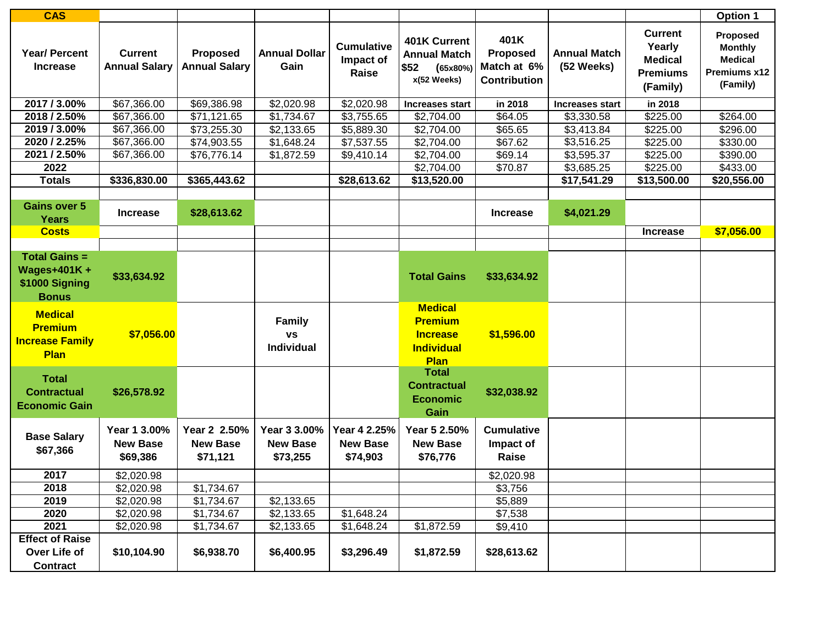| <b>CAS</b>                                                                   |                                             |                                             |                                             |                                             |                                                                                  |                                                               |                                   |                                                                           | Option 1                                                                 |
|------------------------------------------------------------------------------|---------------------------------------------|---------------------------------------------|---------------------------------------------|---------------------------------------------|----------------------------------------------------------------------------------|---------------------------------------------------------------|-----------------------------------|---------------------------------------------------------------------------|--------------------------------------------------------------------------|
| <b>Year/ Percent</b><br><b>Increase</b>                                      | <b>Current</b><br><b>Annual Salary</b>      | <b>Proposed</b><br><b>Annual Salary</b>     | <b>Annual Dollar</b><br>Gain                | <b>Cumulative</b><br>Impact of<br>Raise     | 401K Current<br><b>Annual Match</b><br>\$52<br>(65x80%)<br>x(52 Weeks)           | 401K<br><b>Proposed</b><br>Match at 6%<br><b>Contribution</b> | <b>Annual Match</b><br>(52 Weeks) | <b>Current</b><br>Yearly<br><b>Medical</b><br><b>Premiums</b><br>(Family) | Proposed<br><b>Monthly</b><br><b>Medical</b><br>Premiums x12<br>(Family) |
| 2017 / 3.00%                                                                 | \$67,366.00                                 | \$69,386.98                                 | \$2,020.98                                  | \$2,020.98                                  | <b>Increases start</b>                                                           | in 2018                                                       | <b>Increases start</b>            | in 2018                                                                   |                                                                          |
| 2018 / 2.50%                                                                 | \$67,366.00                                 | \$71,121.65                                 | \$1,734.67                                  | \$3,755.65                                  | \$2,704.00                                                                       | \$64.05                                                       | \$3,330.58                        | \$225.00                                                                  | \$264.00                                                                 |
| 2019 / 3.00%                                                                 | \$67,366.00                                 | \$73,255.30                                 | \$2,133.65                                  | \$5,889.30                                  | \$2,704.00                                                                       | \$65.65                                                       | \$3,413.84                        | \$225.00                                                                  | \$296.00                                                                 |
| 2020 / 2.25%                                                                 | \$67,366.00                                 | \$74,903.55                                 | \$1,648.24                                  | \$7,537.55                                  | \$2,704.00                                                                       | \$67.62                                                       | \$3,516.25                        | \$225.00                                                                  | \$330.00                                                                 |
| 2021 / 2.50%                                                                 | \$67,366.00                                 | \$76,776.14                                 | \$1,872.59                                  | \$9,410.14                                  | \$2,704.00                                                                       | \$69.14                                                       | \$3,595.37                        | \$225.00                                                                  | \$390.00                                                                 |
| 2022                                                                         |                                             |                                             |                                             |                                             | \$2,704.00                                                                       | \$70.87                                                       | \$3,685.25                        | \$225.00                                                                  | \$433.00                                                                 |
| <b>Totals</b>                                                                | \$336,830.00                                | \$365,443.62                                |                                             | \$28,613.62                                 | \$13,520.00                                                                      |                                                               | \$17,541.29                       | \$13,500.00                                                               | \$20,556.00                                                              |
|                                                                              |                                             |                                             |                                             |                                             |                                                                                  |                                                               |                                   |                                                                           |                                                                          |
| <b>Gains over 5</b><br><b>Years</b>                                          | <b>Increase</b>                             | \$28,613.62                                 |                                             |                                             |                                                                                  | <b>Increase</b>                                               | \$4,021.29                        |                                                                           |                                                                          |
| <b>Costs</b>                                                                 |                                             |                                             |                                             |                                             |                                                                                  |                                                               |                                   | <b>Increase</b>                                                           | \$7,056.00                                                               |
|                                                                              |                                             |                                             |                                             |                                             |                                                                                  |                                                               |                                   |                                                                           |                                                                          |
| <b>Total Gains =</b><br><b>Wages+401K+</b><br>\$1000 Signing<br><b>Bonus</b> | \$33,634.92                                 |                                             |                                             |                                             | <b>Total Gains</b>                                                               | \$33,634.92                                                   |                                   |                                                                           |                                                                          |
| <b>Medical</b><br><b>Premium</b><br><b>Increase Family</b><br><b>Plan</b>    | \$7,056.00                                  |                                             | <b>Family</b><br><b>VS</b><br>Individual    |                                             | <b>Medical</b><br><b>Premium</b><br><b>Increase</b><br><b>Individual</b><br>Plan | \$1,596.00                                                    |                                   |                                                                           |                                                                          |
| <b>Total</b><br><b>Contractual</b><br><b>Economic Gain</b>                   | \$26,578.92                                 |                                             |                                             |                                             | <b>Total</b><br><b>Contractual</b><br><b>Economic</b><br>Gain                    | \$32,038.92                                                   |                                   |                                                                           |                                                                          |
| <b>Base Salary</b><br>\$67,366                                               | Year 1 3.00%<br><b>New Base</b><br>\$69,386 | Year 2 2.50%<br><b>New Base</b><br>\$71,121 | Year 3 3.00%<br><b>New Base</b><br>\$73,255 | Year 4 2.25%<br><b>New Base</b><br>\$74,903 | Year 5 2.50%<br><b>New Base</b><br>\$76,776                                      | <b>Cumulative</b><br>Impact of<br>Raise                       |                                   |                                                                           |                                                                          |
| 2017                                                                         | \$2,020.98                                  |                                             |                                             |                                             |                                                                                  | \$2,020.98                                                    |                                   |                                                                           |                                                                          |
| 2018                                                                         | \$2,020.98                                  | \$1,734.67                                  |                                             |                                             |                                                                                  | \$3,756                                                       |                                   |                                                                           |                                                                          |
| 2019                                                                         | \$2,020.98                                  | \$1,734.67                                  | \$2,133.65                                  |                                             |                                                                                  | \$5,889                                                       |                                   |                                                                           |                                                                          |
| 2020                                                                         | \$2,020.98                                  | \$1,734.67                                  | \$2,133.65                                  | \$1,648.24                                  |                                                                                  | \$7,538                                                       |                                   |                                                                           |                                                                          |
| 2021                                                                         | \$2,020.98                                  | \$1,734.67                                  | \$2,133.65                                  | \$1,648.24                                  | \$1,872.59                                                                       | \$9,410                                                       |                                   |                                                                           |                                                                          |
| <b>Effect of Raise</b>                                                       |                                             |                                             |                                             |                                             |                                                                                  |                                                               |                                   |                                                                           |                                                                          |
| Over Life of                                                                 | \$10,104.90                                 | \$6,938.70                                  | \$6,400.95                                  | \$3,296.49                                  | \$1,872.59                                                                       | \$28,613.62                                                   |                                   |                                                                           |                                                                          |
| <b>Contract</b>                                                              |                                             |                                             |                                             |                                             |                                                                                  |                                                               |                                   |                                                                           |                                                                          |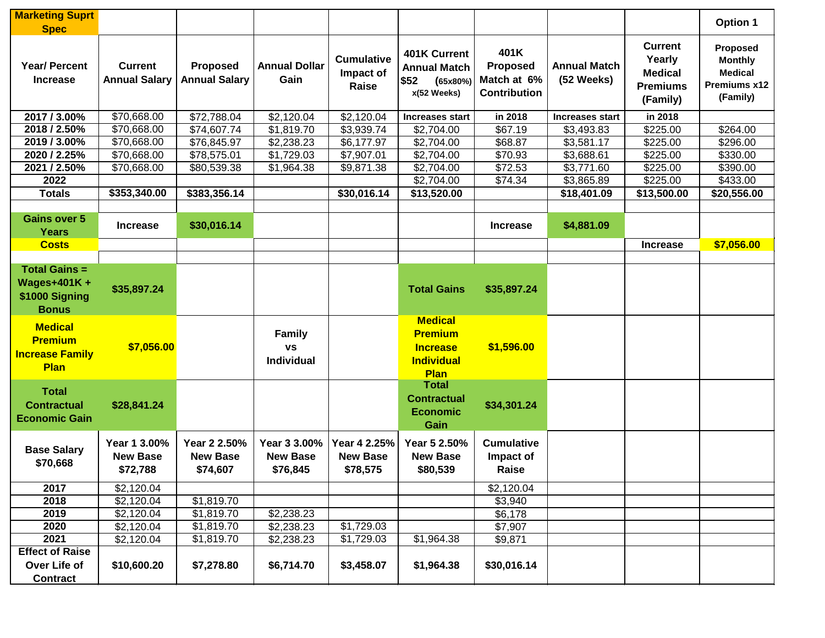| <b>Marketing Suprt</b>                                                       |                                             |                                             |                                                 |                                             |                                                                                  |                                                               |                                   |                                                                           | Option 1                                                                 |
|------------------------------------------------------------------------------|---------------------------------------------|---------------------------------------------|-------------------------------------------------|---------------------------------------------|----------------------------------------------------------------------------------|---------------------------------------------------------------|-----------------------------------|---------------------------------------------------------------------------|--------------------------------------------------------------------------|
| <b>Spec</b><br><b>Year/ Percent</b><br><b>Increase</b>                       | <b>Current</b><br><b>Annual Salary</b>      | <b>Proposed</b><br><b>Annual Salary</b>     | <b>Annual Dollar</b><br>Gain                    | <b>Cumulative</b><br>Impact of<br>Raise     | 401K Current<br><b>Annual Match</b><br>\$52<br>(65x80%)<br>x(52 Weeks)           | 401K<br><b>Proposed</b><br>Match at 6%<br><b>Contribution</b> | <b>Annual Match</b><br>(52 Weeks) | <b>Current</b><br>Yearly<br><b>Medical</b><br><b>Premiums</b><br>(Family) | Proposed<br><b>Monthly</b><br><b>Medical</b><br>Premiums x12<br>(Family) |
| 2017 / 3.00%                                                                 | \$70,668.00                                 | \$72,788.04                                 | \$2,120.04                                      | \$2,120.04                                  | <b>Increases start</b>                                                           | in 2018                                                       | <b>Increases start</b>            | in 2018                                                                   |                                                                          |
| 2018 / 2.50%                                                                 | \$70,668.00                                 | \$74,607.74                                 | \$1,819.70                                      | \$3,939.74                                  | \$2,704.00                                                                       | \$67.19                                                       | \$3,493.83                        | \$225.00                                                                  | \$264.00                                                                 |
| 2019 / 3.00%                                                                 | \$70,668.00                                 | \$76,845.97                                 | \$2,238.23                                      | \$6,177.97                                  | \$2,704.00                                                                       | \$68.87                                                       | \$3,581.17                        | \$225.00                                                                  | \$296.00                                                                 |
| 2020 / 2.25%                                                                 | \$70,668.00                                 | \$78,575.01                                 | \$1,729.03                                      | \$7,907.01                                  | \$2,704.00                                                                       | \$70.93                                                       | \$3,688.61                        | \$225.00                                                                  | \$330.00                                                                 |
| 2021 / 2.50%                                                                 | \$70,668.00                                 | \$80,539.38                                 | \$1,964.38                                      | \$9,871.38                                  | \$2,704.00                                                                       | \$72.53                                                       | \$3,771.60                        | \$225.00                                                                  | \$390.00                                                                 |
| 2022                                                                         |                                             |                                             |                                                 |                                             | \$2,704.00                                                                       | \$74.34                                                       | \$3,865.89                        | \$225.00                                                                  | \$433.00                                                                 |
| <b>Totals</b>                                                                | \$353,340.00                                | \$383,356.14                                |                                                 | \$30,016.14                                 | \$13,520.00                                                                      |                                                               | \$18,401.09                       | \$13,500.00                                                               | \$20,556.00                                                              |
| <b>Gains over 5</b><br><b>Years</b>                                          | <b>Increase</b>                             | \$30,016.14                                 |                                                 |                                             |                                                                                  | <b>Increase</b>                                               | \$4,881.09                        |                                                                           |                                                                          |
| <b>Costs</b>                                                                 |                                             |                                             |                                                 |                                             |                                                                                  |                                                               |                                   | <b>Increase</b>                                                           | \$7,056.00                                                               |
|                                                                              |                                             |                                             |                                                 |                                             |                                                                                  |                                                               |                                   |                                                                           |                                                                          |
| <b>Total Gains =</b><br><b>Wages+401K+</b><br>\$1000 Signing<br><b>Bonus</b> | \$35,897.24                                 |                                             |                                                 |                                             | <b>Total Gains</b>                                                               | \$35,897.24                                                   |                                   |                                                                           |                                                                          |
| <b>Medical</b><br><b>Premium</b><br><b>Increase Family</b><br><b>Plan</b>    | \$7,056.00                                  |                                             | <b>Family</b><br><b>VS</b><br><b>Individual</b> |                                             | <b>Medical</b><br><b>Premium</b><br><b>Increase</b><br><b>Individual</b><br>Plan | \$1,596.00                                                    |                                   |                                                                           |                                                                          |
| <b>Total</b><br><b>Contractual</b><br><b>Economic Gain</b>                   | \$28,841.24                                 |                                             |                                                 |                                             | <b>Total</b><br><b>Contractual</b><br><b>Economic</b><br>Gain                    | \$34,301.24                                                   |                                   |                                                                           |                                                                          |
| <b>Base Salary</b><br>\$70,668                                               | Year 1 3.00%<br><b>New Base</b><br>\$72,788 | Year 2 2.50%<br><b>New Base</b><br>\$74,607 | Year 3 3.00%<br><b>New Base</b><br>\$76,845     | Year 4 2.25%<br><b>New Base</b><br>\$78,575 | Year 5 2.50%<br><b>New Base</b><br>\$80,539                                      | <b>Cumulative</b><br>Impact of<br>Raise                       |                                   |                                                                           |                                                                          |
| 2017                                                                         | \$2,120.04                                  |                                             |                                                 |                                             |                                                                                  | \$2,120.04                                                    |                                   |                                                                           |                                                                          |
| 2018                                                                         | \$2,120.04                                  | \$1,819.70                                  |                                                 |                                             |                                                                                  | \$3,940                                                       |                                   |                                                                           |                                                                          |
| 2019                                                                         | \$2,120.04                                  | \$1,819.70                                  | \$2,238.23                                      |                                             |                                                                                  | \$6,178                                                       |                                   |                                                                           |                                                                          |
| 2020                                                                         | \$2,120.04                                  | \$1,819.70                                  | \$2,238.23                                      | \$1,729.03                                  |                                                                                  | \$7,907                                                       |                                   |                                                                           |                                                                          |
| 2021                                                                         | \$2,120.04                                  | \$1,819.70                                  | \$2,238.23                                      | \$1,729.03                                  | \$1,964.38                                                                       | \$9,871                                                       |                                   |                                                                           |                                                                          |
| <b>Effect of Raise</b>                                                       |                                             |                                             |                                                 |                                             |                                                                                  |                                                               |                                   |                                                                           |                                                                          |
| Over Life of                                                                 | \$10,600.20                                 | \$7,278.80                                  | \$6,714.70                                      | \$3,458.07                                  | \$1,964.38                                                                       | \$30,016.14                                                   |                                   |                                                                           |                                                                          |
| <b>Contract</b>                                                              |                                             |                                             |                                                 |                                             |                                                                                  |                                                               |                                   |                                                                           |                                                                          |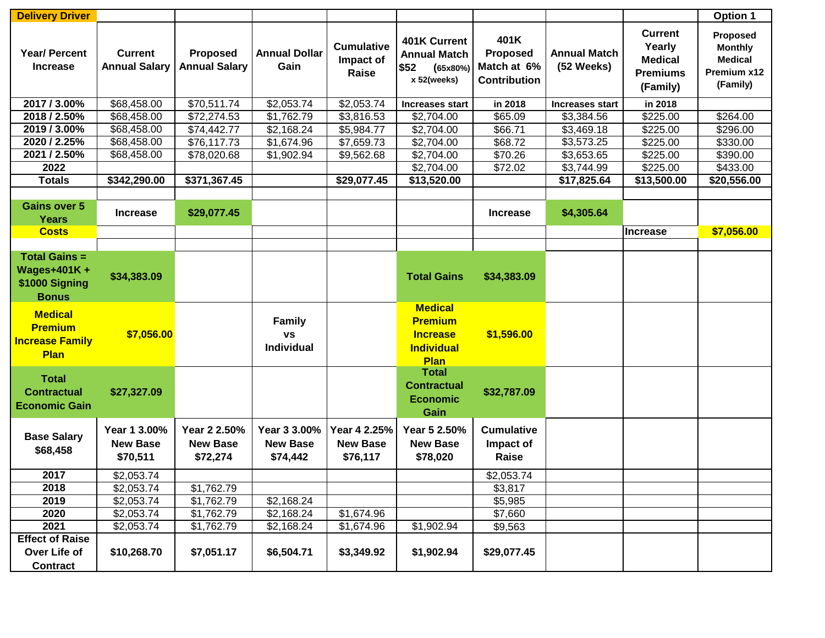| <b>Delivery Driver</b>                                                       |                                             |                                             |                                                 |                                             |                                                                                         |                                                        |                                   |                                                                           | <b>Option 1</b>                                                         |
|------------------------------------------------------------------------------|---------------------------------------------|---------------------------------------------|-------------------------------------------------|---------------------------------------------|-----------------------------------------------------------------------------------------|--------------------------------------------------------|-----------------------------------|---------------------------------------------------------------------------|-------------------------------------------------------------------------|
| <b>Year/ Percent</b><br><b>Increase</b>                                      | <b>Current</b><br><b>Annual Salary</b>      | <b>Proposed</b><br><b>Annual Salary</b>     | <b>Annual Dollar</b><br>Gain                    | <b>Cumulative</b><br>Impact of<br>Raise     | 401K Current<br><b>Annual Match</b><br>\$52<br>(65x80%)<br>x 52(weeks)                  | 401K<br>Proposed<br>Match at 6%<br><b>Contribution</b> | <b>Annual Match</b><br>(52 Weeks) | <b>Current</b><br>Yearly<br><b>Medical</b><br><b>Premiums</b><br>(Family) | Proposed<br><b>Monthly</b><br><b>Medical</b><br>Premium x12<br>(Family) |
| 2017 / 3.00%                                                                 | \$68,458.00                                 | \$70,511.74                                 | \$2,053.74                                      | \$2,053.74                                  | <b>Increases start</b>                                                                  | in 2018                                                | <b>Increases start</b>            | in 2018                                                                   |                                                                         |
| 2018 / 2.50%                                                                 | \$68,458.00                                 | \$72,274.53                                 | \$1,762.79                                      | \$3,816.53                                  | \$2,704.00                                                                              | \$65.09                                                | \$3,384.56                        | \$225.00                                                                  | \$264.00                                                                |
| 2019 / 3.00%                                                                 | \$68,458.00                                 | \$74,442.77                                 | \$2,168.24                                      | \$5,984.77                                  | \$2,704.00                                                                              | \$66.71                                                | \$3,469.18                        | \$225.00                                                                  | \$296.00                                                                |
| 2020 / 2.25%                                                                 | \$68,458.00                                 | \$76,117.73                                 | \$1,674.96                                      | \$7,659.73                                  | \$2,704.00                                                                              | \$68.72                                                | \$3,573.25                        | \$225.00                                                                  | \$330.00                                                                |
| 2021 / 2.50%                                                                 | \$68,458.00                                 | \$78,020.68                                 | \$1,902.94                                      | \$9,562.68                                  | \$2,704.00                                                                              | \$70.26                                                | \$3,653.65                        | \$225.00                                                                  | \$390.00                                                                |
| 2022                                                                         |                                             |                                             |                                                 |                                             | \$2,704.00                                                                              | \$72.02                                                | \$3,744.99                        | \$225.00                                                                  | \$433.00                                                                |
| <b>Totals</b>                                                                | \$342,290.00                                | \$371,367.45                                |                                                 | \$29,077.45                                 | \$13,520.00                                                                             |                                                        | \$17,825.64                       | \$13,500.00                                                               | \$20,556.00                                                             |
|                                                                              |                                             |                                             |                                                 |                                             |                                                                                         |                                                        |                                   |                                                                           |                                                                         |
| <b>Gains over 5</b><br><b>Years</b>                                          | <b>Increase</b>                             | \$29,077.45                                 |                                                 |                                             |                                                                                         | <b>Increase</b>                                        | \$4,305.64                        |                                                                           |                                                                         |
| <b>Costs</b>                                                                 |                                             |                                             |                                                 |                                             |                                                                                         |                                                        |                                   | <b>Increase</b>                                                           | \$7,056.00                                                              |
|                                                                              |                                             |                                             |                                                 |                                             |                                                                                         |                                                        |                                   |                                                                           |                                                                         |
| <b>Total Gains =</b><br><b>Wages+401K+</b><br>\$1000 Signing<br><b>Bonus</b> | \$34,383.09                                 |                                             |                                                 |                                             | <b>Total Gains</b>                                                                      | \$34,383.09                                            |                                   |                                                                           |                                                                         |
| <b>Medical</b><br><b>Premium</b><br><b>Increase Family</b><br><b>Plan</b>    | \$7,056.00                                  |                                             | <b>Family</b><br><b>VS</b><br><b>Individual</b> |                                             | <b>Medical</b><br><b>Premium</b><br><b>Increase</b><br><b>Individual</b><br><b>Plan</b> | \$1,596.00                                             |                                   |                                                                           |                                                                         |
| <b>Total</b><br><b>Contractual</b><br><b>Economic Gain</b>                   | \$27,327.09                                 |                                             |                                                 |                                             | <b>Total</b><br><b>Contractual</b><br><b>Economic</b><br>Gain                           | \$32,787.09                                            |                                   |                                                                           |                                                                         |
| <b>Base Salary</b><br>\$68,458                                               | Year 1 3.00%<br><b>New Base</b><br>\$70,511 | Year 2 2.50%<br><b>New Base</b><br>\$72,274 | Year 3 3.00%<br><b>New Base</b><br>\$74,442     | Year 4 2.25%<br><b>New Base</b><br>\$76,117 | Year 5 2.50%<br><b>New Base</b><br>\$78,020                                             | <b>Cumulative</b><br>Impact of<br>Raise                |                                   |                                                                           |                                                                         |
| 2017                                                                         | \$2,053.74                                  |                                             |                                                 |                                             |                                                                                         | \$2,053.74                                             |                                   |                                                                           |                                                                         |
| 2018                                                                         | \$2,053.74                                  | \$1,762.79                                  |                                                 |                                             |                                                                                         | \$3,817                                                |                                   |                                                                           |                                                                         |
| 2019                                                                         | \$2,053.74                                  | \$1,762.79                                  | \$2,168.24                                      |                                             |                                                                                         | \$5,985                                                |                                   |                                                                           |                                                                         |
| 2020                                                                         | \$2,053.74                                  | \$1,762.79                                  | \$2,168.24                                      | \$1,674.96                                  |                                                                                         | \$7,660                                                |                                   |                                                                           |                                                                         |
| 2021                                                                         | \$2,053.74                                  | \$1,762.79                                  | \$2,168.24                                      | \$1,674.96                                  | \$1,902.94                                                                              | \$9,563                                                |                                   |                                                                           |                                                                         |
| <b>Effect of Raise</b>                                                       |                                             |                                             |                                                 |                                             |                                                                                         |                                                        |                                   |                                                                           |                                                                         |
| Over Life of                                                                 | \$10,268.70                                 | \$7,051.17                                  | \$6,504.71                                      | \$3,349.92                                  | \$1,902.94                                                                              | \$29,077.45                                            |                                   |                                                                           |                                                                         |
| <b>Contract</b>                                                              |                                             |                                             |                                                 |                                             |                                                                                         |                                                        |                                   |                                                                           |                                                                         |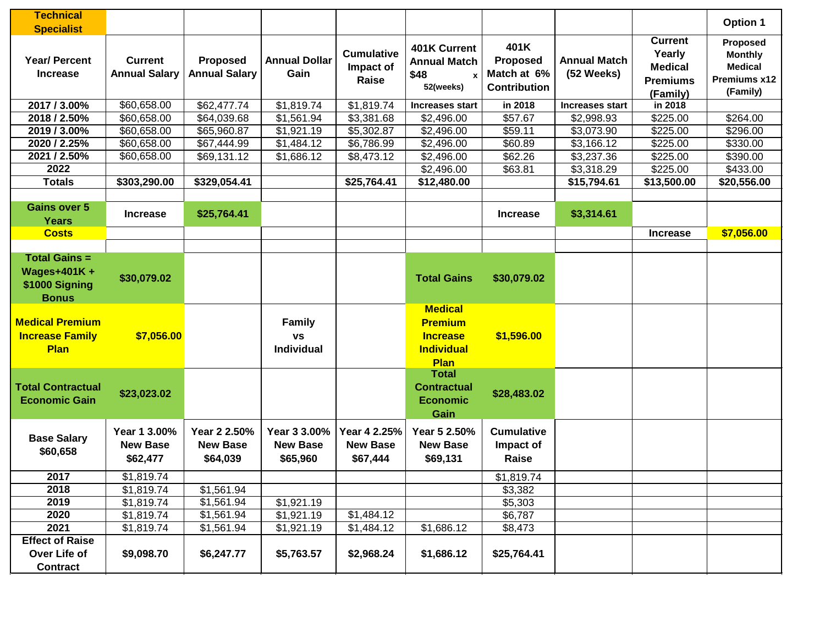| <b>Technical</b>                                                             |                                             |                                             |                                             |                                             |                                                                                  |                                                               |                                   |                                                                           | Option 1                                                                 |
|------------------------------------------------------------------------------|---------------------------------------------|---------------------------------------------|---------------------------------------------|---------------------------------------------|----------------------------------------------------------------------------------|---------------------------------------------------------------|-----------------------------------|---------------------------------------------------------------------------|--------------------------------------------------------------------------|
| <b>Specialist</b><br><b>Year/ Percent</b><br><b>Increase</b>                 | <b>Current</b><br><b>Annual Salary</b>      | <b>Proposed</b><br><b>Annual Salary</b>     | <b>Annual Dollar</b><br>Gain                | <b>Cumulative</b><br>Impact of<br>Raise     | 401K Current<br><b>Annual Match</b><br>\$48<br>52(weeks)                         | 401K<br><b>Proposed</b><br>Match at 6%<br><b>Contribution</b> | <b>Annual Match</b><br>(52 Weeks) | <b>Current</b><br>Yearly<br><b>Medical</b><br><b>Premiums</b><br>(Family) | Proposed<br><b>Monthly</b><br><b>Medical</b><br>Premiums x12<br>(Family) |
| 2017 / 3.00%                                                                 | \$60,658.00                                 | \$62,477.74                                 | \$1,819.74                                  | \$1,819.74                                  | <b>Increases start</b>                                                           | in 2018                                                       | <b>Increases start</b>            | in 2018                                                                   |                                                                          |
| 2018 / 2.50%                                                                 | \$60,658.00                                 | \$64,039.68                                 | \$1,561.94                                  | \$3,381.68                                  | \$2,496.00                                                                       | \$57.67                                                       | \$2,998.93                        | \$225.00                                                                  | \$264.00                                                                 |
| 2019 / 3.00%                                                                 | \$60,658.00                                 | \$65,960.87                                 | \$1,921.19                                  | \$5,302.87                                  | \$2,496.00                                                                       | \$59.11                                                       | \$3,073.90                        | \$225.00                                                                  | \$296.00                                                                 |
| 2020 / 2.25%                                                                 | \$60,658.00                                 | \$67,444.99                                 | \$1,484.12                                  | \$6,786.99                                  | \$2,496.00                                                                       | \$60.89                                                       | \$3,166.12                        | \$225.00                                                                  | \$330.00                                                                 |
| 2021 / 2.50%                                                                 | \$60,658.00                                 | \$69,131.12                                 | \$1,686.12                                  | \$8,473.12                                  | \$2,496.00                                                                       | \$62.26                                                       | \$3,237.36                        | \$225.00                                                                  | \$390.00                                                                 |
| 2022                                                                         |                                             |                                             |                                             |                                             | \$2,496.00                                                                       | \$63.81                                                       | \$3,318.29                        | \$225.00                                                                  | \$433.00                                                                 |
| <b>Totals</b>                                                                | \$303,290.00                                | \$329,054.41                                |                                             | \$25,764.41                                 | \$12,480.00                                                                      |                                                               | \$15,794.61                       | \$13,500.00                                                               | \$20,556.00                                                              |
|                                                                              |                                             |                                             |                                             |                                             |                                                                                  |                                                               |                                   |                                                                           |                                                                          |
| <b>Gains over 5</b><br><b>Years</b>                                          | <b>Increase</b>                             | \$25,764.41                                 |                                             |                                             |                                                                                  | <b>Increase</b>                                               | \$3,314.61                        |                                                                           |                                                                          |
| <b>Costs</b>                                                                 |                                             |                                             |                                             |                                             |                                                                                  |                                                               |                                   | <b>Increase</b>                                                           | \$7,056.00                                                               |
|                                                                              |                                             |                                             |                                             |                                             |                                                                                  |                                                               |                                   |                                                                           |                                                                          |
| <b>Total Gains =</b><br><b>Wages+401K+</b><br>\$1000 Signing<br><b>Bonus</b> | \$30,079.02                                 |                                             |                                             |                                             | <b>Total Gains</b>                                                               | \$30,079.02                                                   |                                   |                                                                           |                                                                          |
| <b>Medical Premium</b><br><b>Increase Family</b><br>Plan                     | \$7,056.00                                  |                                             | <b>Family</b><br><b>VS</b><br>Individual    |                                             | <b>Medical</b><br><b>Premium</b><br><b>Increase</b><br><b>Individual</b><br>Plan | \$1,596.00                                                    |                                   |                                                                           |                                                                          |
| <b>Total Contractual</b><br><b>Economic Gain</b>                             | \$23,023.02                                 |                                             |                                             |                                             | <b>Total</b><br><b>Contractual</b><br><b>Economic</b><br>Gain                    | \$28,483.02                                                   |                                   |                                                                           |                                                                          |
| <b>Base Salary</b><br>\$60,658                                               | Year 1 3.00%<br><b>New Base</b><br>\$62,477 | Year 2 2.50%<br><b>New Base</b><br>\$64,039 | Year 3 3.00%<br><b>New Base</b><br>\$65,960 | Year 4 2.25%<br><b>New Base</b><br>\$67,444 | Year 5 2.50%<br><b>New Base</b><br>\$69,131                                      | <b>Cumulative</b><br>Impact of<br>Raise                       |                                   |                                                                           |                                                                          |
| 2017                                                                         | \$1,819.74                                  |                                             |                                             |                                             |                                                                                  | \$1,819.74                                                    |                                   |                                                                           |                                                                          |
| 2018                                                                         | \$1,819.74                                  | \$1,561.94                                  |                                             |                                             |                                                                                  | \$3,382                                                       |                                   |                                                                           |                                                                          |
| 2019                                                                         | \$1,819.74                                  | \$1,561.94                                  | \$1,921.19                                  |                                             |                                                                                  | \$5,303                                                       |                                   |                                                                           |                                                                          |
| 2020                                                                         | \$1,819.74                                  | \$1,561.94                                  | \$1,921.19                                  | \$1,484.12                                  |                                                                                  | \$6,787                                                       |                                   |                                                                           |                                                                          |
| 2021                                                                         | \$1,819.74                                  | \$1,561.94                                  | \$1,921.19                                  | \$1,484.12                                  | \$1,686.12                                                                       | \$8,473                                                       |                                   |                                                                           |                                                                          |
| <b>Effect of Raise</b>                                                       |                                             |                                             |                                             |                                             |                                                                                  |                                                               |                                   |                                                                           |                                                                          |
| Over Life of<br><b>Contract</b>                                              | \$9,098.70                                  | \$6,247.77                                  | \$5,763.57                                  | \$2,968.24                                  | \$1,686.12                                                                       | \$25,764.41                                                   |                                   |                                                                           |                                                                          |
|                                                                              |                                             |                                             |                                             |                                             |                                                                                  |                                                               |                                   |                                                                           |                                                                          |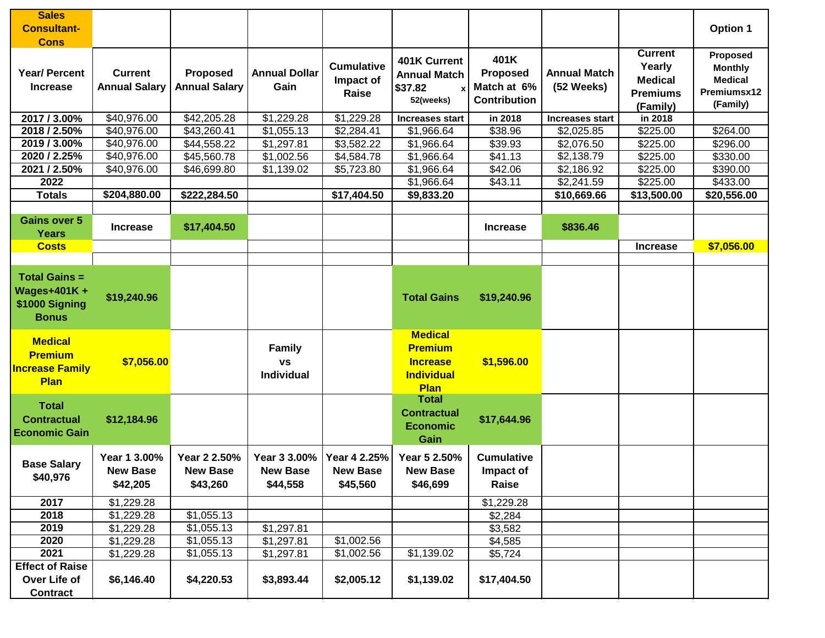| <b>Sales</b>                                                                 |                                             |                                             |                                             |                                             |                                                                                  |                                                               |                                   |                                                                           |                                                                         |
|------------------------------------------------------------------------------|---------------------------------------------|---------------------------------------------|---------------------------------------------|---------------------------------------------|----------------------------------------------------------------------------------|---------------------------------------------------------------|-----------------------------------|---------------------------------------------------------------------------|-------------------------------------------------------------------------|
| <b>Consultant-</b><br><b>Cons</b>                                            |                                             |                                             |                                             |                                             |                                                                                  |                                                               |                                   |                                                                           | <b>Option 1</b>                                                         |
| <b>Year/ Percent</b><br><b>Increase</b>                                      | <b>Current</b><br><b>Annual Salary</b>      | <b>Proposed</b><br><b>Annual Salary</b>     | <b>Annual Dollar</b><br>Gain                | <b>Cumulative</b><br>Impact of<br>Raise     | 401K Current<br><b>Annual Match</b><br>\$37.82<br>$\mathbf{x}$<br>52(weeks)      | 401K<br><b>Proposed</b><br>Match at 6%<br><b>Contribution</b> | <b>Annual Match</b><br>(52 Weeks) | <b>Current</b><br>Yearly<br><b>Medical</b><br><b>Premiums</b><br>(Family) | Proposed<br><b>Monthly</b><br><b>Medical</b><br>Premiumsx12<br>(Family) |
| 2017 / 3.00%                                                                 | \$40,976.00                                 | \$42,205.28                                 | \$1,229.28                                  | \$1,229.28                                  | <b>Increases start</b>                                                           | in 2018                                                       | <b>Increases start</b>            | in 2018                                                                   |                                                                         |
| 2018 / 2.50%                                                                 | \$40,976.00                                 | \$43,260.41                                 | \$1,055.13                                  | \$2,284.41                                  | \$1,966.64                                                                       | \$38.96                                                       | \$2,025.85                        | \$225.00                                                                  | \$264.00                                                                |
| 2019 / 3.00%                                                                 | \$40,976.00                                 | \$44,558.22                                 | \$1,297.81                                  | \$3,582.22                                  | \$1,966.64                                                                       | \$39.93                                                       | \$2,076.50                        | \$225.00                                                                  | \$296.00                                                                |
| 2020 / 2.25%                                                                 | \$40,976.00                                 | \$45,560.78                                 | \$1,002.56                                  | \$4,584.78                                  | \$1,966.64                                                                       | \$41.13                                                       | \$2,138.79                        | \$225.00                                                                  | \$330.00                                                                |
| 2021 / 2.50%                                                                 | \$40,976.00                                 | \$46,699.80                                 | \$1,139.02                                  | \$5,723.80                                  | \$1,966.64                                                                       | \$42.06                                                       | \$2,186.92                        | \$225.00                                                                  | \$390.00                                                                |
| 2022                                                                         |                                             |                                             |                                             |                                             | \$1,966.64                                                                       | \$43.11                                                       | \$2,241.59                        | \$225.00                                                                  | \$433.00                                                                |
| <b>Totals</b>                                                                | \$204,880.00                                | \$222,284.50                                |                                             | \$17,404.50                                 | \$9,833.20                                                                       |                                                               | \$10,669.66                       | \$13,500.00                                                               | \$20,556.00                                                             |
| <b>Gains over 5</b><br><b>Years</b>                                          | <b>Increase</b>                             | \$17,404.50                                 |                                             |                                             |                                                                                  | <b>Increase</b>                                               | \$836.46                          |                                                                           |                                                                         |
| <b>Costs</b>                                                                 |                                             |                                             |                                             |                                             |                                                                                  |                                                               |                                   | <b>Increase</b>                                                           | \$7,056.00                                                              |
|                                                                              |                                             |                                             |                                             |                                             |                                                                                  |                                                               |                                   |                                                                           |                                                                         |
| <b>Total Gains =</b><br><b>Wages+401K+</b><br>\$1000 Signing<br><b>Bonus</b> | \$19,240.96                                 |                                             |                                             |                                             | <b>Total Gains</b>                                                               | \$19,240.96                                                   |                                   |                                                                           |                                                                         |
| <b>Medical</b><br><b>Premium</b><br><b>Increase Family</b><br>Plan           | \$7,056.00                                  |                                             | <b>Family</b><br><b>VS</b><br>Individual    |                                             | <b>Medical</b><br><b>Premium</b><br><b>Increase</b><br><b>Individual</b><br>Plan | \$1,596.00                                                    |                                   |                                                                           |                                                                         |
| <b>Total</b><br><b>Contractual</b><br><b>Economic Gain</b>                   | \$12,184.96                                 |                                             |                                             |                                             | <b>Total</b><br><b>Contractual</b><br><b>Economic</b><br>Gain                    | \$17,644.96                                                   |                                   |                                                                           |                                                                         |
| <b>Base Salary</b><br>\$40,976                                               | Year 1 3.00%<br><b>New Base</b><br>\$42,205 | Year 2 2.50%<br><b>New Base</b><br>\$43,260 | Year 3 3.00%<br><b>New Base</b><br>\$44,558 | Year 4 2.25%<br><b>New Base</b><br>\$45,560 | Year 5 2.50%<br><b>New Base</b><br>\$46,699                                      | <b>Cumulative</b><br>Impact of<br>Raise                       |                                   |                                                                           |                                                                         |
| 2017                                                                         | \$1,229.28                                  |                                             |                                             |                                             |                                                                                  | \$1,229.28                                                    |                                   |                                                                           |                                                                         |
| 2018                                                                         | \$1,229.28                                  | \$1,055.13                                  |                                             |                                             |                                                                                  | \$2,284                                                       |                                   |                                                                           |                                                                         |
| 2019                                                                         | \$1,229.28                                  | \$1,055.13                                  | \$1,297.81                                  |                                             |                                                                                  | \$3,582                                                       |                                   |                                                                           |                                                                         |
| 2020                                                                         | \$1,229.28                                  | \$1,055.13                                  | \$1,297.81                                  | \$1,002.56                                  |                                                                                  | \$4,585                                                       |                                   |                                                                           |                                                                         |
| 2021                                                                         | \$1,229.28                                  | \$1,055.13                                  | \$1,297.81                                  | \$1,002.56                                  | \$1,139.02                                                                       | \$5,724                                                       |                                   |                                                                           |                                                                         |
| <b>Effect of Raise</b>                                                       |                                             |                                             |                                             |                                             |                                                                                  |                                                               |                                   |                                                                           |                                                                         |
| Over Life of<br>Contract                                                     | \$6,146.40                                  | \$4,220.53                                  | \$3,893.44                                  | \$2,005.12                                  | \$1,139.02                                                                       | \$17,404.50                                                   |                                   |                                                                           |                                                                         |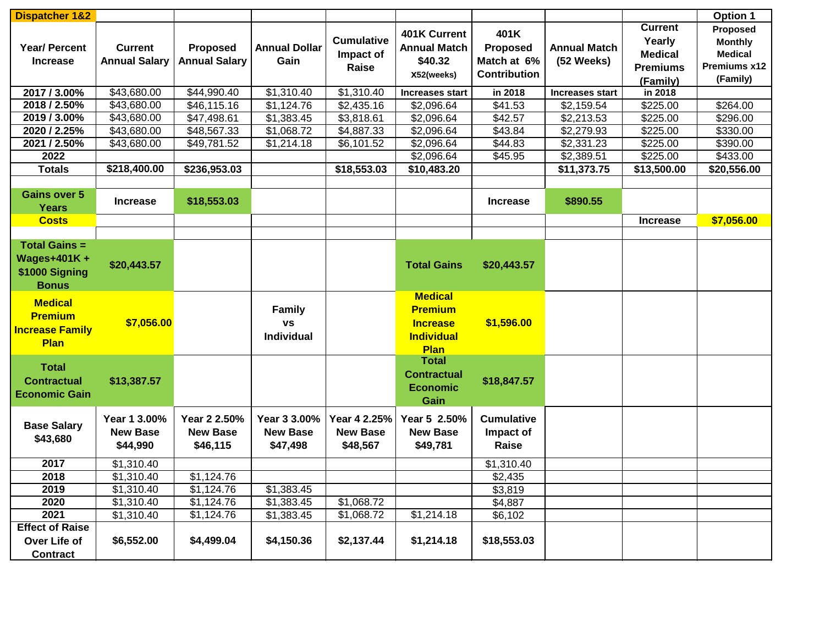| <b>Dispatcher 1&amp;2</b>           |                      |                      |                      |                   |                        |                     |                     |                 | <b>Option 1</b> |
|-------------------------------------|----------------------|----------------------|----------------------|-------------------|------------------------|---------------------|---------------------|-----------------|-----------------|
|                                     |                      |                      |                      |                   | 401K Current           | 401K                |                     | <b>Current</b>  | Proposed        |
| <b>Year/ Percent</b>                |                      |                      | <b>Annual Dollar</b> | <b>Cumulative</b> | <b>Annual Match</b>    |                     |                     | Yearly          | <b>Monthly</b>  |
|                                     | <b>Current</b>       | <b>Proposed</b>      |                      | Impact of         |                        | Proposed            | <b>Annual Match</b> | <b>Medical</b>  | <b>Medical</b>  |
| <b>Increase</b>                     | <b>Annual Salary</b> | <b>Annual Salary</b> | Gain                 | Raise             | \$40.32                | Match at 6%         | (52 Weeks)          | <b>Premiums</b> | Premiums x12    |
|                                     |                      |                      |                      |                   | X52(weeks)             | <b>Contribution</b> |                     | (Family)        | (Family)        |
| 2017 / 3.00%                        | \$43,680.00          | \$44,990.40          | \$1,310.40           | \$1,310.40        | <b>Increases start</b> | in 2018             | Increases start     | in 2018         |                 |
| 2018 / 2.50%                        | \$43,680.00          | \$46,115.16          | \$1,124.76           | \$2,435.16        | \$2,096.64             | \$41.53             | \$2,159.54          | \$225.00        | \$264.00        |
| 2019 / 3.00%                        | \$43,680.00          | \$47,498.61          | \$1,383.45           | \$3,818.61        | \$2,096.64             | \$42.57             | \$2,213.53          | \$225.00        | \$296.00        |
| 2020 / 2.25%                        | \$43,680.00          | \$48,567.33          | \$1,068.72           | \$4,887.33        | \$2,096.64             | \$43.84             | \$2,279.93          | \$225.00        | \$330.00        |
| 2021 / 2.50%                        | \$43,680.00          | \$49,781.52          | \$1,214.18           | \$6,101.52        | \$2,096.64             | \$44.83             | \$2,331.23          | \$225.00        | \$390.00        |
| 2022                                |                      |                      |                      |                   | \$2,096.64             | \$45.95             | \$2,389.51          | \$225.00        | \$433.00        |
| <b>Totals</b>                       | \$218,400.00         | \$236,953.03         |                      | \$18,553.03       | \$10,483.20            |                     | \$11,373.75         | \$13,500.00     | \$20,556.00     |
|                                     |                      |                      |                      |                   |                        |                     |                     |                 |                 |
| <b>Gains over 5</b><br><b>Years</b> | <b>Increase</b>      | \$18,553.03          |                      |                   |                        | <b>Increase</b>     | \$890.55            |                 |                 |
| <b>Costs</b>                        |                      |                      |                      |                   |                        |                     |                     | <b>Increase</b> | \$7,056.00      |
|                                     |                      |                      |                      |                   |                        |                     |                     |                 |                 |
| <b>Total Gains =</b>                |                      |                      |                      |                   |                        |                     |                     |                 |                 |
| <b>Wages+401K+</b>                  | \$20,443.57          |                      |                      |                   | <b>Total Gains</b>     | \$20,443.57         |                     |                 |                 |
| \$1000 Signing                      |                      |                      |                      |                   |                        |                     |                     |                 |                 |
| <b>Bonus</b>                        |                      |                      |                      |                   |                        |                     |                     |                 |                 |
| <b>Medical</b>                      |                      |                      |                      |                   | <b>Medical</b>         |                     |                     |                 |                 |
| <b>Premium</b>                      |                      |                      | <b>Family</b>        |                   | <b>Premium</b>         |                     |                     |                 |                 |
| <b>Increase Family</b>              | \$7,056.00           |                      | <b>VS</b>            |                   | <b>Increase</b>        | \$1,596.00          |                     |                 |                 |
| <b>Plan</b>                         |                      |                      | Individual           |                   | <b>Individual</b>      |                     |                     |                 |                 |
|                                     |                      |                      |                      |                   | Plan                   |                     |                     |                 |                 |
| <b>Total</b>                        |                      |                      |                      |                   | <b>Total</b>           |                     |                     |                 |                 |
| <b>Contractual</b>                  | \$13,387.57          |                      |                      |                   | <b>Contractual</b>     | \$18,847.57         |                     |                 |                 |
| <b>Economic Gain</b>                |                      |                      |                      |                   | <b>Economic</b>        |                     |                     |                 |                 |
|                                     |                      |                      |                      |                   | Gain                   |                     |                     |                 |                 |
|                                     | Year 1 3.00%         | Year 2 2.50%         | Year 3 3.00%         | Year 4 2.25%      | Year 5 2.50%           | <b>Cumulative</b>   |                     |                 |                 |
| <b>Base Salary</b>                  | <b>New Base</b>      | <b>New Base</b>      | <b>New Base</b>      | <b>New Base</b>   | <b>New Base</b>        | Impact of           |                     |                 |                 |
| \$43,680                            | \$44,990             | \$46,115             | \$47,498             | \$48,567          | \$49,781               | Raise               |                     |                 |                 |
|                                     |                      |                      |                      |                   |                        |                     |                     |                 |                 |
| 2017                                | \$1,310.40           |                      |                      |                   |                        | \$1,310.40          |                     |                 |                 |
| 2018                                | \$1,310.40           | \$1,124.76           |                      |                   |                        | \$2,435             |                     |                 |                 |
| 2019                                | \$1,310.40           | \$1,124.76           | \$1,383.45           |                   |                        | \$3,819             |                     |                 |                 |
| 2020                                | \$1,310.40           | \$1,124.76           | \$1,383.45           | \$1,068.72        |                        | \$4,887             |                     |                 |                 |
| 2021                                | \$1,310.40           | \$1,124.76           | \$1,383.45           | \$1,068.72        | \$1,214.18             | \$6,102             |                     |                 |                 |
| <b>Effect of Raise</b>              |                      |                      |                      |                   |                        |                     |                     |                 |                 |
| Over Life of                        | \$6,552.00           | \$4,499.04           | \$4,150.36           | \$2,137.44        | \$1,214.18             | \$18,553.03         |                     |                 |                 |
| <b>Contract</b>                     |                      |                      |                      |                   |                        |                     |                     |                 |                 |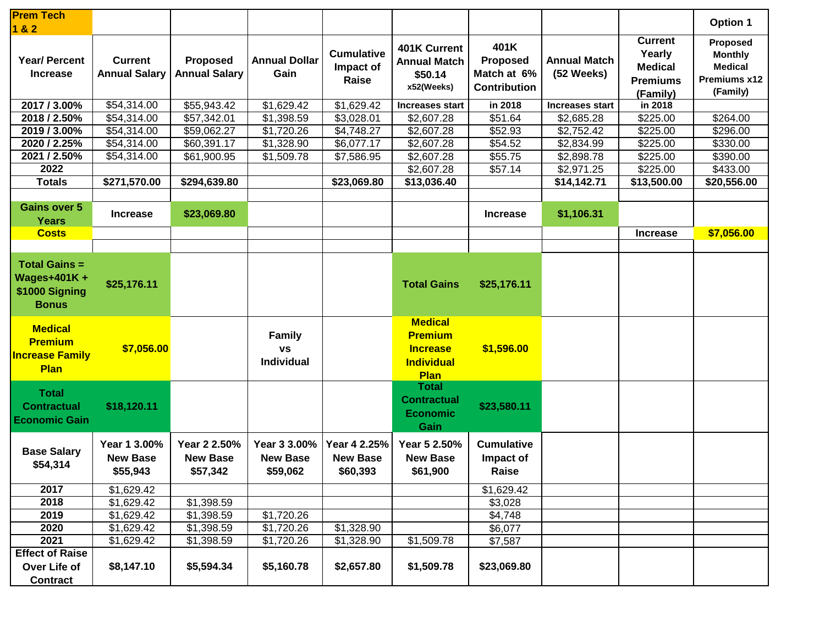| <b>Prem Tech</b><br>182                                                      |                                             |                                             |                                             |                                             |                                                                                         |                                                        |                                   |                                                                           | Option 1                                                                 |
|------------------------------------------------------------------------------|---------------------------------------------|---------------------------------------------|---------------------------------------------|---------------------------------------------|-----------------------------------------------------------------------------------------|--------------------------------------------------------|-----------------------------------|---------------------------------------------------------------------------|--------------------------------------------------------------------------|
| <b>Year/ Percent</b><br><b>Increase</b>                                      | <b>Current</b><br><b>Annual Salary</b>      | <b>Proposed</b><br><b>Annual Salary</b>     | <b>Annual Dollar</b><br>Gain                | <b>Cumulative</b><br>Impact of<br>Raise     | 401K Current<br><b>Annual Match</b><br>\$50.14<br>x52(Weeks)                            | 401K<br>Proposed<br>Match at 6%<br><b>Contribution</b> | <b>Annual Match</b><br>(52 Weeks) | <b>Current</b><br>Yearly<br><b>Medical</b><br><b>Premiums</b><br>(Family) | Proposed<br><b>Monthly</b><br><b>Medical</b><br>Premiums x12<br>(Family) |
| 2017 / 3.00%                                                                 | \$54,314.00                                 | \$55,943.42                                 | \$1,629.42                                  | \$1,629.42                                  | <b>Increases start</b>                                                                  | in 2018                                                | Increases start                   | in 2018                                                                   |                                                                          |
| 2018 / 2.50%                                                                 | \$54,314.00                                 | \$57,342.01                                 | \$1,398.59                                  | \$3,028.01                                  | \$2,607.28                                                                              | \$51.64                                                | \$2,685.28                        | \$225.00                                                                  | \$264.00                                                                 |
| 2019 / 3.00%                                                                 | \$54,314.00                                 | \$59,062.27                                 | \$1,720.26                                  | \$4,748.27                                  | \$2,607.28                                                                              | \$52.93                                                | \$2,752.42                        | \$225.00                                                                  | \$296.00                                                                 |
| 2020 / 2.25%                                                                 | \$54,314.00                                 | \$60,391.17                                 | \$1,328.90                                  | \$6,077.17                                  | \$2,607.28                                                                              | \$54.52                                                | \$2,834.99                        | \$225.00                                                                  | \$330.00                                                                 |
| 2021 / 2.50%                                                                 | \$54,314.00                                 | \$61,900.95                                 | \$1,509.78                                  | \$7,586.95                                  | \$2,607.28                                                                              | \$55.75                                                | \$2,898.78                        | \$225.00                                                                  | \$390.00                                                                 |
| 2022                                                                         |                                             |                                             |                                             |                                             | \$2,607.28                                                                              | \$57.14                                                | \$2,971.25                        | \$225.00                                                                  | \$433.00                                                                 |
| <b>Totals</b>                                                                | \$271,570.00                                | \$294,639.80                                |                                             | \$23,069.80                                 | \$13,036.40                                                                             |                                                        | \$14,142.71                       | \$13,500.00                                                               | \$20,556.00                                                              |
|                                                                              |                                             |                                             |                                             |                                             |                                                                                         |                                                        |                                   |                                                                           |                                                                          |
| <b>Gains over 5</b><br><b>Years</b>                                          | <b>Increase</b>                             | \$23,069.80                                 |                                             |                                             |                                                                                         | <b>Increase</b>                                        | \$1,106.31                        |                                                                           |                                                                          |
| <b>Costs</b>                                                                 |                                             |                                             |                                             |                                             |                                                                                         |                                                        |                                   | <b>Increase</b>                                                           | \$7,056.00                                                               |
|                                                                              |                                             |                                             |                                             |                                             |                                                                                         |                                                        |                                   |                                                                           |                                                                          |
| <b>Total Gains =</b><br><b>Wages+401K+</b><br>\$1000 Signing<br><b>Bonus</b> | \$25,176.11                                 |                                             |                                             |                                             | <b>Total Gains</b>                                                                      | \$25,176.11                                            |                                   |                                                                           |                                                                          |
| <b>Medical</b><br><b>Premium</b><br><b>Increase Family</b><br><b>Plan</b>    | \$7,056.00                                  |                                             | <b>Family</b><br><b>VS</b><br>Individual    |                                             | <b>Medical</b><br><b>Premium</b><br><b>Increase</b><br><b>Individual</b><br><b>Plan</b> | \$1,596.00                                             |                                   |                                                                           |                                                                          |
| <b>Total</b><br><b>Contractual</b><br><b>Economic Gain</b>                   | \$18,120.11                                 |                                             |                                             |                                             | <b>Total</b><br><b>Contractual</b><br><b>Economic</b><br>Gain                           | \$23,580.11                                            |                                   |                                                                           |                                                                          |
| <b>Base Salary</b><br>\$54,314                                               | Year 1 3.00%<br><b>New Base</b><br>\$55,943 | Year 2 2.50%<br><b>New Base</b><br>\$57,342 | Year 3 3.00%<br><b>New Base</b><br>\$59,062 | Year 4 2.25%<br><b>New Base</b><br>\$60,393 | Year 5 2.50%<br><b>New Base</b><br>\$61,900                                             | <b>Cumulative</b><br>Impact of<br>Raise                |                                   |                                                                           |                                                                          |
| 2017                                                                         | \$1,629.42                                  |                                             |                                             |                                             |                                                                                         | \$1,629.42                                             |                                   |                                                                           |                                                                          |
| 2018                                                                         | \$1,629.42                                  | \$1,398.59                                  |                                             |                                             |                                                                                         | \$3,028                                                |                                   |                                                                           |                                                                          |
| 2019                                                                         | \$1,629.42                                  | \$1,398.59                                  | \$1,720.26                                  |                                             |                                                                                         | \$4,748                                                |                                   |                                                                           |                                                                          |
| 2020                                                                         | \$1,629.42                                  | \$1,398.59                                  | \$1,720.26                                  | \$1,328.90                                  |                                                                                         | \$6,077                                                |                                   |                                                                           |                                                                          |
| 2021                                                                         | \$1,629.42                                  | \$1,398.59                                  | \$1,720.26                                  | \$1,328.90                                  | \$1,509.78                                                                              | \$7,587                                                |                                   |                                                                           |                                                                          |
| <b>Effect of Raise</b>                                                       |                                             |                                             |                                             |                                             |                                                                                         |                                                        |                                   |                                                                           |                                                                          |
| Over Life of<br><b>Contract</b>                                              | \$8,147.10                                  | \$5,594.34                                  | \$5,160.78                                  | \$2,657.80                                  | \$1,509.78                                                                              | \$23,069.80                                            |                                   |                                                                           |                                                                          |